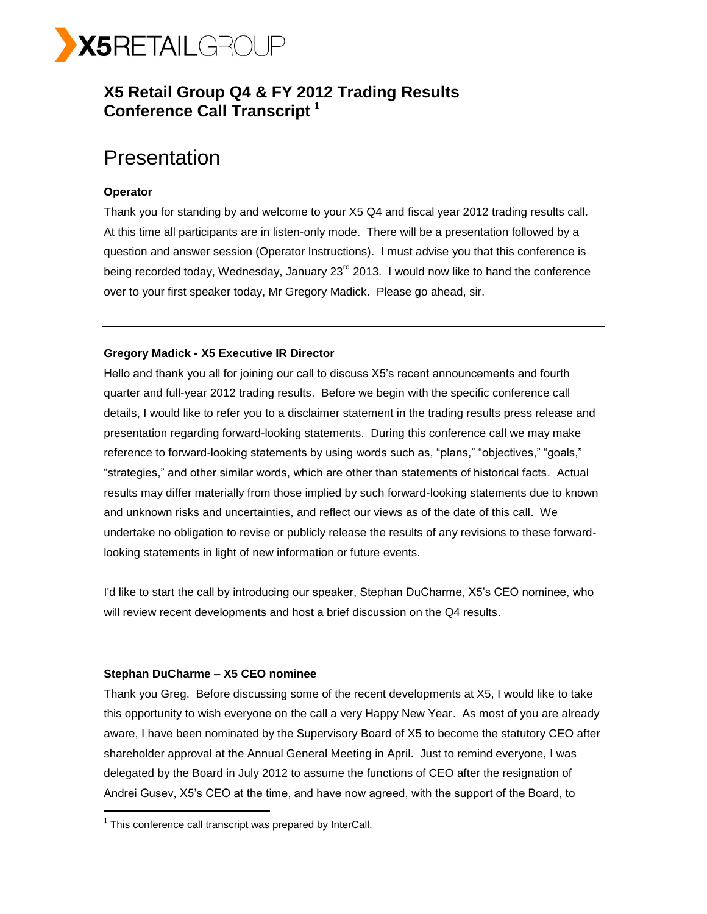

## **X5 Retail Group Q4 & FY 2012 Trading Results Conference Call Transcript <sup>1</sup>**

## **Presentation**

## **Operator**

Thank you for standing by and welcome to your X5 Q4 and fiscal year 2012 trading results call. At this time all participants are in listen-only mode. There will be a presentation followed by a question and answer session (Operator Instructions). I must advise you that this conference is being recorded today, Wednesday, January 23<sup>rd</sup> 2013. I would now like to hand the conference over to your first speaker today, Mr Gregory Madick. Please go ahead, sir.

## **Gregory Madick - X5 Executive IR Director**

Hello and thank you all for joining our call to discuss X5's recent announcements and fourth quarter and full-year 2012 trading results. Before we begin with the specific conference call details, I would like to refer you to a disclaimer statement in the trading results press release and presentation regarding forward-looking statements. During this conference call we may make reference to forward-looking statements by using words such as, "plans," "objectives," "goals," "strategies," and other similar words, which are other than statements of historical facts. Actual results may differ materially from those implied by such forward-looking statements due to known and unknown risks and uncertainties, and reflect our views as of the date of this call. We undertake no obligation to revise or publicly release the results of any revisions to these forwardlooking statements in light of new information or future events.

I'd like to start the call by introducing our speaker, Stephan DuCharme, X5's CEO nominee, who will review recent developments and host a brief discussion on the Q4 results.

## **Stephan DuCharme – X5 CEO nominee**

 $\overline{a}$ 

Thank you Greg. Before discussing some of the recent developments at X5, I would like to take this opportunity to wish everyone on the call a very Happy New Year. As most of you are already aware, I have been nominated by the Supervisory Board of X5 to become the statutory CEO after shareholder approval at the Annual General Meeting in April. Just to remind everyone, I was delegated by the Board in July 2012 to assume the functions of CEO after the resignation of Andrei Gusev, X5's CEO at the time, and have now agreed, with the support of the Board, to

 $1$  This conference call transcript was prepared by InterCall.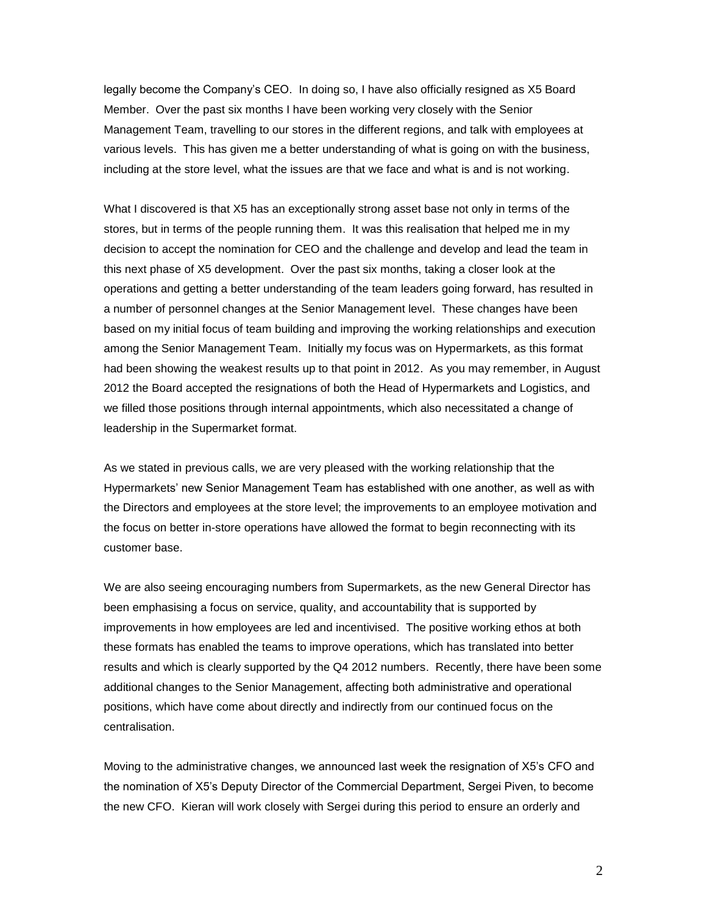legally become the Company's CEO. In doing so, I have also officially resigned as X5 Board Member. Over the past six months I have been working very closely with the Senior Management Team, travelling to our stores in the different regions, and talk with employees at various levels. This has given me a better understanding of what is going on with the business, including at the store level, what the issues are that we face and what is and is not working.

What I discovered is that X5 has an exceptionally strong asset base not only in terms of the stores, but in terms of the people running them. It was this realisation that helped me in my decision to accept the nomination for CEO and the challenge and develop and lead the team in this next phase of X5 development. Over the past six months, taking a closer look at the operations and getting a better understanding of the team leaders going forward, has resulted in a number of personnel changes at the Senior Management level. These changes have been based on my initial focus of team building and improving the working relationships and execution among the Senior Management Team. Initially my focus was on Hypermarkets, as this format had been showing the weakest results up to that point in 2012. As you may remember, in August 2012 the Board accepted the resignations of both the Head of Hypermarkets and Logistics, and we filled those positions through internal appointments, which also necessitated a change of leadership in the Supermarket format.

As we stated in previous calls, we are very pleased with the working relationship that the Hypermarkets' new Senior Management Team has established with one another, as well as with the Directors and employees at the store level; the improvements to an employee motivation and the focus on better in-store operations have allowed the format to begin reconnecting with its customer base.

We are also seeing encouraging numbers from Supermarkets, as the new General Director has been emphasising a focus on service, quality, and accountability that is supported by improvements in how employees are led and incentivised. The positive working ethos at both these formats has enabled the teams to improve operations, which has translated into better results and which is clearly supported by the Q4 2012 numbers. Recently, there have been some additional changes to the Senior Management, affecting both administrative and operational positions, which have come about directly and indirectly from our continued focus on the centralisation.

Moving to the administrative changes, we announced last week the resignation of X5's CFO and the nomination of X5's Deputy Director of the Commercial Department, Sergei Piven, to become the new CFO. Kieran will work closely with Sergei during this period to ensure an orderly and

2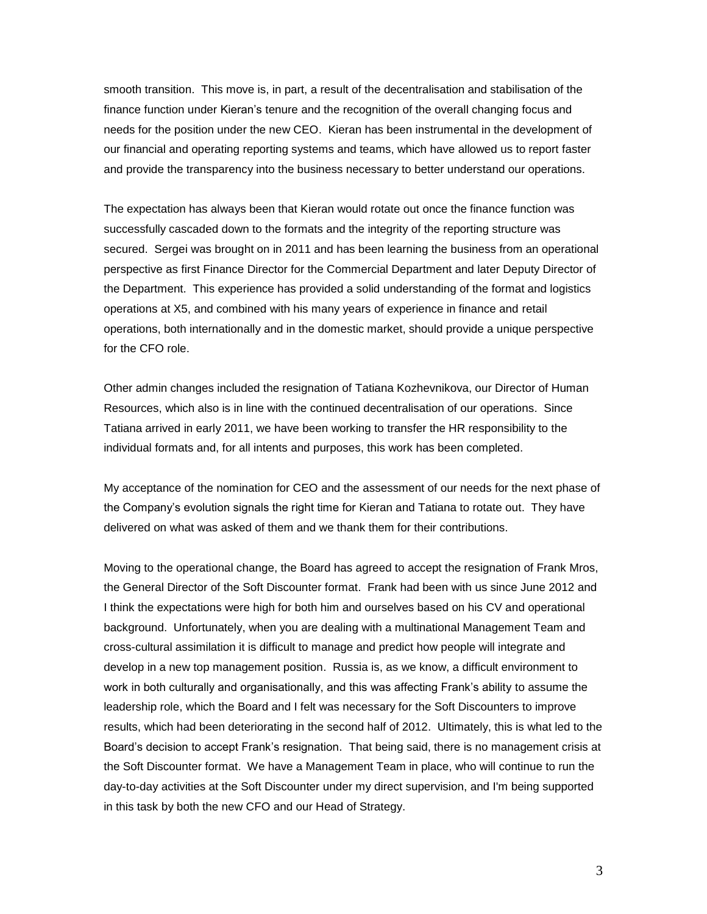smooth transition. This move is, in part, a result of the decentralisation and stabilisation of the finance function under Kieran's tenure and the recognition of the overall changing focus and needs for the position under the new CEO. Kieran has been instrumental in the development of our financial and operating reporting systems and teams, which have allowed us to report faster and provide the transparency into the business necessary to better understand our operations.

The expectation has always been that Kieran would rotate out once the finance function was successfully cascaded down to the formats and the integrity of the reporting structure was secured. Sergei was brought on in 2011 and has been learning the business from an operational perspective as first Finance Director for the Commercial Department and later Deputy Director of the Department. This experience has provided a solid understanding of the format and logistics operations at X5, and combined with his many years of experience in finance and retail operations, both internationally and in the domestic market, should provide a unique perspective for the CFO role.

Other admin changes included the resignation of Tatiana Kozhevnikova, our Director of Human Resources, which also is in line with the continued decentralisation of our operations. Since Tatiana arrived in early 2011, we have been working to transfer the HR responsibility to the individual formats and, for all intents and purposes, this work has been completed.

My acceptance of the nomination for CEO and the assessment of our needs for the next phase of the Company's evolution signals the right time for Kieran and Tatiana to rotate out. They have delivered on what was asked of them and we thank them for their contributions.

Moving to the operational change, the Board has agreed to accept the resignation of Frank Mros, the General Director of the Soft Discounter format. Frank had been with us since June 2012 and I think the expectations were high for both him and ourselves based on his CV and operational background. Unfortunately, when you are dealing with a multinational Management Team and cross-cultural assimilation it is difficult to manage and predict how people will integrate and develop in a new top management position. Russia is, as we know, a difficult environment to work in both culturally and organisationally, and this was affecting Frank's ability to assume the leadership role, which the Board and I felt was necessary for the Soft Discounters to improve results, which had been deteriorating in the second half of 2012. Ultimately, this is what led to the Board's decision to accept Frank's resignation. That being said, there is no management crisis at the Soft Discounter format. We have a Management Team in place, who will continue to run the day-to-day activities at the Soft Discounter under my direct supervision, and I'm being supported in this task by both the new CFO and our Head of Strategy.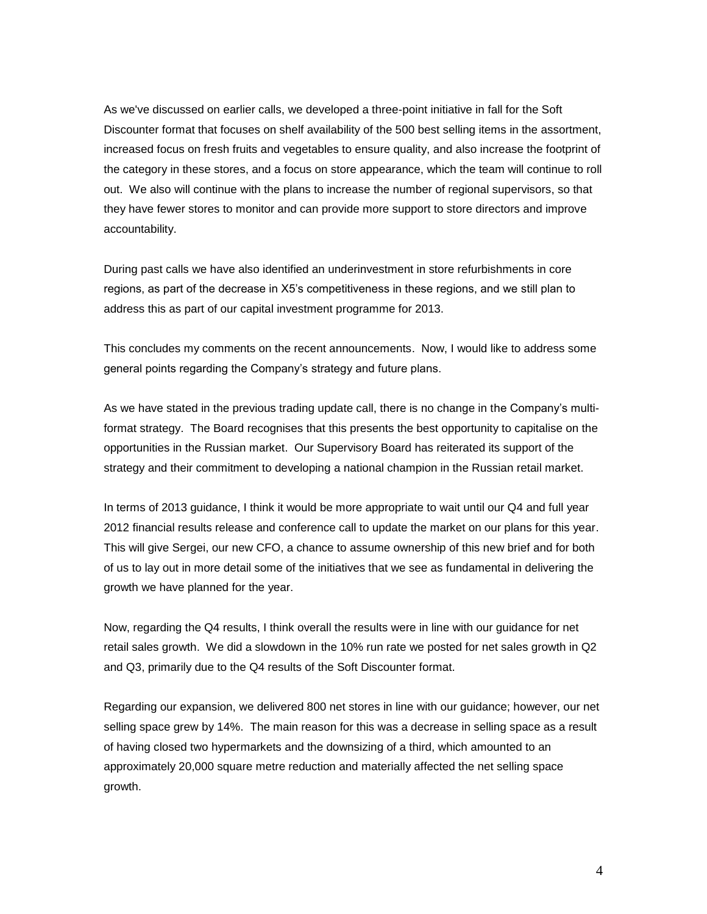As we've discussed on earlier calls, we developed a three-point initiative in fall for the Soft Discounter format that focuses on shelf availability of the 500 best selling items in the assortment, increased focus on fresh fruits and vegetables to ensure quality, and also increase the footprint of the category in these stores, and a focus on store appearance, which the team will continue to roll out. We also will continue with the plans to increase the number of regional supervisors, so that they have fewer stores to monitor and can provide more support to store directors and improve accountability.

During past calls we have also identified an underinvestment in store refurbishments in core regions, as part of the decrease in X5's competitiveness in these regions, and we still plan to address this as part of our capital investment programme for 2013.

This concludes my comments on the recent announcements. Now, I would like to address some general points regarding the Company's strategy and future plans.

As we have stated in the previous trading update call, there is no change in the Company's multiformat strategy. The Board recognises that this presents the best opportunity to capitalise on the opportunities in the Russian market. Our Supervisory Board has reiterated its support of the strategy and their commitment to developing a national champion in the Russian retail market.

In terms of 2013 guidance, I think it would be more appropriate to wait until our Q4 and full year 2012 financial results release and conference call to update the market on our plans for this year. This will give Sergei, our new CFO, a chance to assume ownership of this new brief and for both of us to lay out in more detail some of the initiatives that we see as fundamental in delivering the growth we have planned for the year.

Now, regarding the Q4 results, I think overall the results were in line with our guidance for net retail sales growth. We did a slowdown in the 10% run rate we posted for net sales growth in Q2 and Q3, primarily due to the Q4 results of the Soft Discounter format.

Regarding our expansion, we delivered 800 net stores in line with our guidance; however, our net selling space grew by 14%. The main reason for this was a decrease in selling space as a result of having closed two hypermarkets and the downsizing of a third, which amounted to an approximately 20,000 square metre reduction and materially affected the net selling space growth.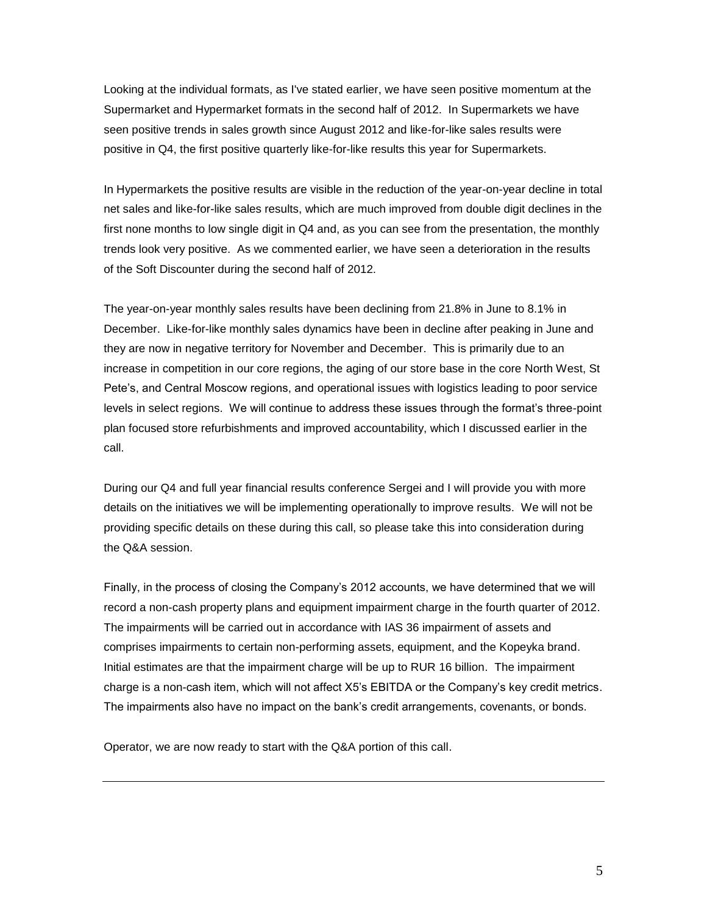Looking at the individual formats, as I've stated earlier, we have seen positive momentum at the Supermarket and Hypermarket formats in the second half of 2012. In Supermarkets we have seen positive trends in sales growth since August 2012 and like-for-like sales results were positive in Q4, the first positive quarterly like-for-like results this year for Supermarkets.

In Hypermarkets the positive results are visible in the reduction of the year-on-year decline in total net sales and like-for-like sales results, which are much improved from double digit declines in the first none months to low single digit in Q4 and, as you can see from the presentation, the monthly trends look very positive. As we commented earlier, we have seen a deterioration in the results of the Soft Discounter during the second half of 2012.

The year-on-year monthly sales results have been declining from 21.8% in June to 8.1% in December. Like-for-like monthly sales dynamics have been in decline after peaking in June and they are now in negative territory for November and December. This is primarily due to an increase in competition in our core regions, the aging of our store base in the core North West, St Pete's, and Central Moscow regions, and operational issues with logistics leading to poor service levels in select regions. We will continue to address these issues through the format's three-point plan focused store refurbishments and improved accountability, which I discussed earlier in the call.

During our Q4 and full year financial results conference Sergei and I will provide you with more details on the initiatives we will be implementing operationally to improve results. We will not be providing specific details on these during this call, so please take this into consideration during the Q&A session.

Finally, in the process of closing the Company's 2012 accounts, we have determined that we will record a non-cash property plans and equipment impairment charge in the fourth quarter of 2012. The impairments will be carried out in accordance with IAS 36 impairment of assets and comprises impairments to certain non-performing assets, equipment, and the Kopeyka brand. Initial estimates are that the impairment charge will be up to RUR 16 billion. The impairment charge is a non-cash item, which will not affect X5's EBITDA or the Company's key credit metrics. The impairments also have no impact on the bank's credit arrangements, covenants, or bonds.

Operator, we are now ready to start with the Q&A portion of this call.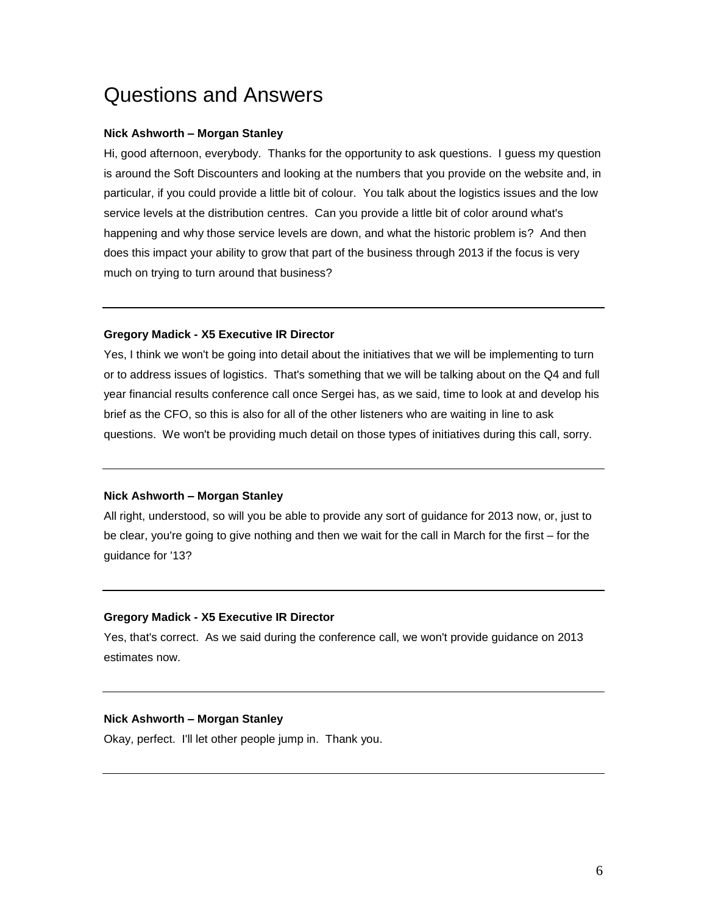# Questions and Answers

## **Nick Ashworth – Morgan Stanley**

Hi, good afternoon, everybody. Thanks for the opportunity to ask questions. I guess my question is around the Soft Discounters and looking at the numbers that you provide on the website and, in particular, if you could provide a little bit of colour. You talk about the logistics issues and the low service levels at the distribution centres. Can you provide a little bit of color around what's happening and why those service levels are down, and what the historic problem is? And then does this impact your ability to grow that part of the business through 2013 if the focus is very much on trying to turn around that business?

## **Gregory Madick - X5 Executive IR Director**

Yes, I think we won't be going into detail about the initiatives that we will be implementing to turn or to address issues of logistics. That's something that we will be talking about on the Q4 and full year financial results conference call once Sergei has, as we said, time to look at and develop his brief as the CFO, so this is also for all of the other listeners who are waiting in line to ask questions. We won't be providing much detail on those types of initiatives during this call, sorry.

## **Nick Ashworth – Morgan Stanley**

All right, understood, so will you be able to provide any sort of guidance for 2013 now, or, just to be clear, you're going to give nothing and then we wait for the call in March for the first – for the guidance for '13?

## **Gregory Madick - X5 Executive IR Director**

Yes, that's correct. As we said during the conference call, we won't provide guidance on 2013 estimates now.

## **Nick Ashworth – Morgan Stanley**

Okay, perfect. I'll let other people jump in. Thank you.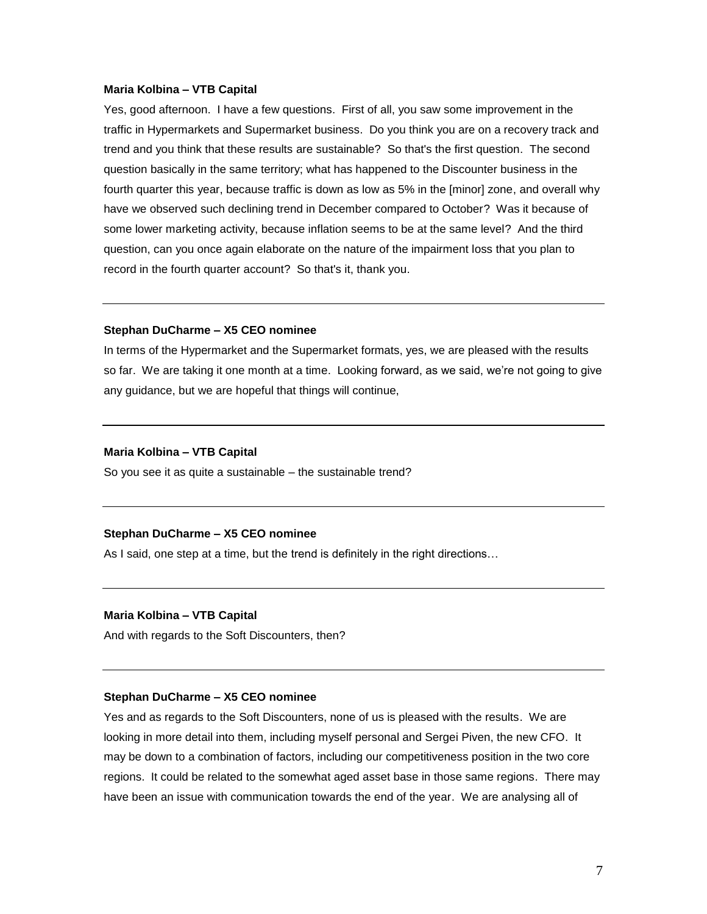#### **Maria Kolbina – VTB Capital**

Yes, good afternoon. I have a few questions. First of all, you saw some improvement in the traffic in Hypermarkets and Supermarket business. Do you think you are on a recovery track and trend and you think that these results are sustainable? So that's the first question. The second question basically in the same territory; what has happened to the Discounter business in the fourth quarter this year, because traffic is down as low as 5% in the [minor] zone, and overall why have we observed such declining trend in December compared to October? Was it because of some lower marketing activity, because inflation seems to be at the same level? And the third question, can you once again elaborate on the nature of the impairment loss that you plan to record in the fourth quarter account? So that's it, thank you.

## **Stephan DuCharme – X5 CEO nominee**

In terms of the Hypermarket and the Supermarket formats, yes, we are pleased with the results so far. We are taking it one month at a time. Looking forward, as we said, we're not going to give any guidance, but we are hopeful that things will continue,

#### **Maria Kolbina – VTB Capital**

So you see it as quite a sustainable – the sustainable trend?

## **Stephan DuCharme – X5 CEO nominee**

As I said, one step at a time, but the trend is definitely in the right directions…

## **Maria Kolbina – VTB Capital**

And with regards to the Soft Discounters, then?

#### **Stephan DuCharme – X5 CEO nominee**

Yes and as regards to the Soft Discounters, none of us is pleased with the results. We are looking in more detail into them, including myself personal and Sergei Piven, the new CFO. It may be down to a combination of factors, including our competitiveness position in the two core regions. It could be related to the somewhat aged asset base in those same regions. There may have been an issue with communication towards the end of the year. We are analysing all of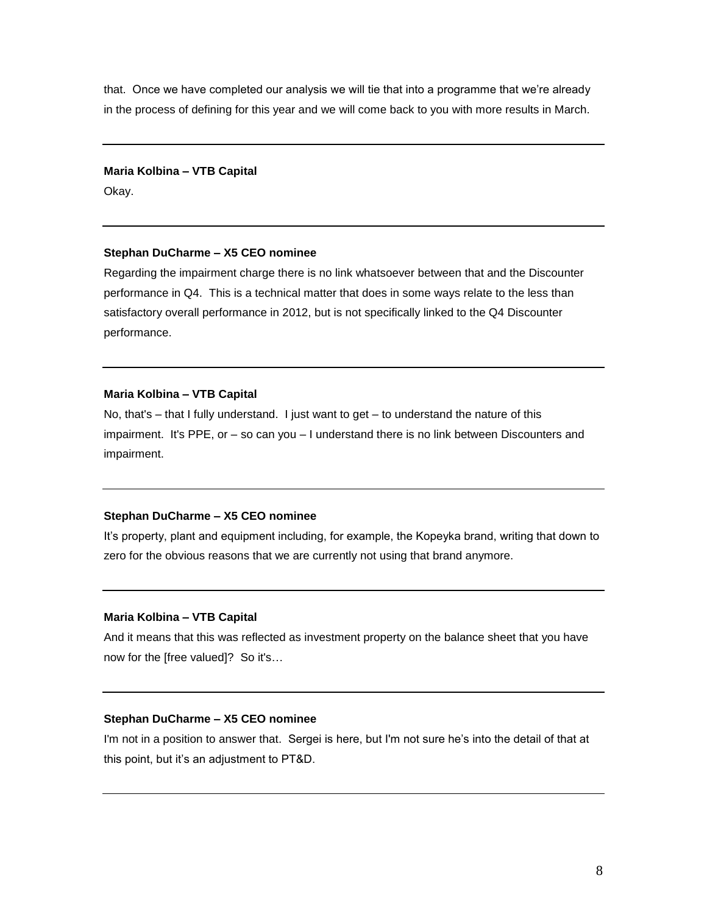that. Once we have completed our analysis we will tie that into a programme that we're already in the process of defining for this year and we will come back to you with more results in March.

#### **Maria Kolbina – VTB Capital**

Okay.

## **Stephan DuCharme – X5 CEO nominee**

Regarding the impairment charge there is no link whatsoever between that and the Discounter performance in Q4. This is a technical matter that does in some ways relate to the less than satisfactory overall performance in 2012, but is not specifically linked to the Q4 Discounter performance.

## **Maria Kolbina – VTB Capital**

No, that's – that I fully understand. I just want to get – to understand the nature of this impairment. It's PPE, or – so can you – I understand there is no link between Discounters and impairment.

## **Stephan DuCharme – X5 CEO nominee**

It's property, plant and equipment including, for example, the Kopeyka brand, writing that down to zero for the obvious reasons that we are currently not using that brand anymore.

## **Maria Kolbina – VTB Capital**

And it means that this was reflected as investment property on the balance sheet that you have now for the [free valued]? So it's…

## **Stephan DuCharme – X5 CEO nominee**

I'm not in a position to answer that. Sergei is here, but I'm not sure he's into the detail of that at this point, but it's an adjustment to PT&D.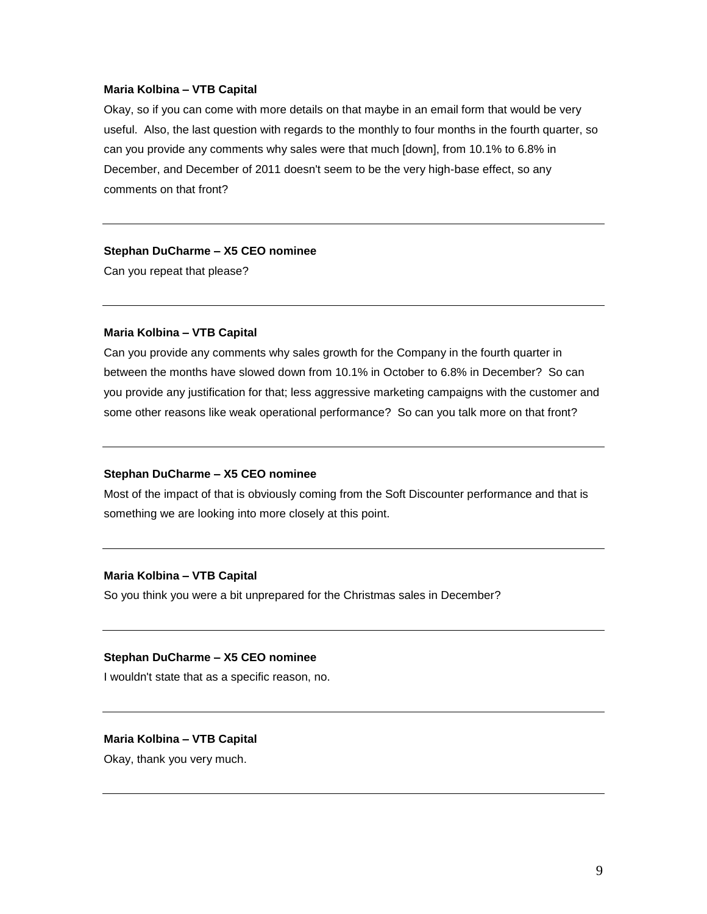#### **Maria Kolbina – VTB Capital**

Okay, so if you can come with more details on that maybe in an email form that would be very useful. Also, the last question with regards to the monthly to four months in the fourth quarter, so can you provide any comments why sales were that much [down], from 10.1% to 6.8% in December, and December of 2011 doesn't seem to be the very high-base effect, so any comments on that front?

#### **Stephan DuCharme – X5 CEO nominee**

Can you repeat that please?

## **Maria Kolbina** *–* **VTB Capital**

Can you provide any comments why sales growth for the Company in the fourth quarter in between the months have slowed down from 10.1% in October to 6.8% in December? So can you provide any justification for that; less aggressive marketing campaigns with the customer and some other reasons like weak operational performance? So can you talk more on that front?

#### **Stephan DuCharme – X5 CEO nominee**

Most of the impact of that is obviously coming from the Soft Discounter performance and that is something we are looking into more closely at this point.

#### **Maria Kolbina** *–* **VTB Capital**

So you think you were a bit unprepared for the Christmas sales in December?

#### **Stephan DuCharme – X5 CEO nominee**

I wouldn't state that as a specific reason, no.

#### **Maria Kolbina** *–* **VTB Capital**

Okay, thank you very much.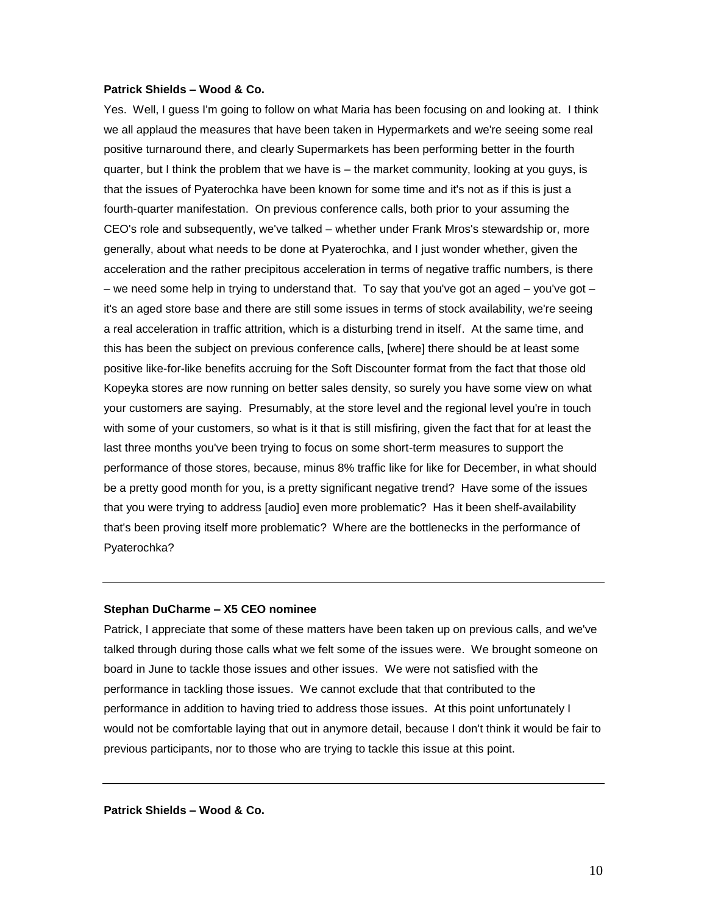#### **Patrick Shields** *–* **Wood & Co.**

Yes. Well, I guess I'm going to follow on what Maria has been focusing on and looking at. I think we all applaud the measures that have been taken in Hypermarkets and we're seeing some real positive turnaround there, and clearly Supermarkets has been performing better in the fourth quarter, but I think the problem that we have is – the market community, looking at you guys, is that the issues of Pyaterochka have been known for some time and it's not as if this is just a fourth-quarter manifestation. On previous conference calls, both prior to your assuming the CEO's role and subsequently, we've talked – whether under Frank Mros's stewardship or, more generally, about what needs to be done at Pyaterochka, and I just wonder whether, given the acceleration and the rather precipitous acceleration in terms of negative traffic numbers, is there – we need some help in trying to understand that. To say that you've got an aged – you've got – it's an aged store base and there are still some issues in terms of stock availability, we're seeing a real acceleration in traffic attrition, which is a disturbing trend in itself. At the same time, and this has been the subject on previous conference calls, [where] there should be at least some positive like-for-like benefits accruing for the Soft Discounter format from the fact that those old Kopeyka stores are now running on better sales density, so surely you have some view on what your customers are saying. Presumably, at the store level and the regional level you're in touch with some of your customers, so what is it that is still misfiring, given the fact that for at least the last three months you've been trying to focus on some short-term measures to support the performance of those stores, because, minus 8% traffic like for like for December, in what should be a pretty good month for you, is a pretty significant negative trend? Have some of the issues that you were trying to address [audio] even more problematic? Has it been shelf-availability that's been proving itself more problematic? Where are the bottlenecks in the performance of Pyaterochka?

#### **Stephan DuCharme – X5 CEO nominee**

Patrick, I appreciate that some of these matters have been taken up on previous calls, and we've talked through during those calls what we felt some of the issues were. We brought someone on board in June to tackle those issues and other issues. We were not satisfied with the performance in tackling those issues. We cannot exclude that that contributed to the performance in addition to having tried to address those issues. At this point unfortunately I would not be comfortable laying that out in anymore detail, because I don't think it would be fair to previous participants, nor to those who are trying to tackle this issue at this point.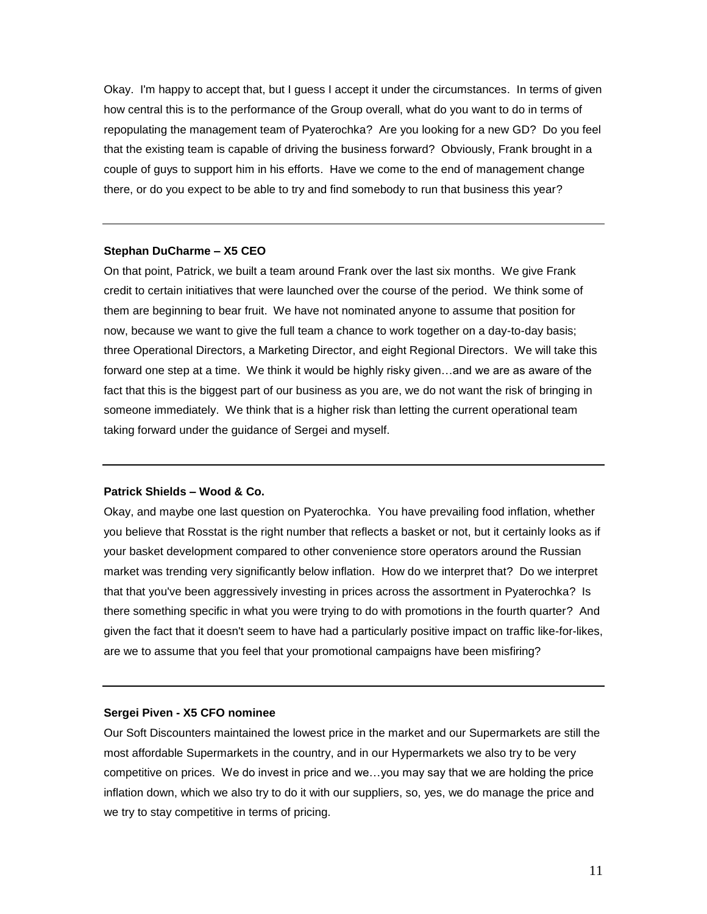Okay. I'm happy to accept that, but I guess I accept it under the circumstances. In terms of given how central this is to the performance of the Group overall, what do you want to do in terms of repopulating the management team of Pyaterochka? Are you looking for a new GD? Do you feel that the existing team is capable of driving the business forward? Obviously, Frank brought in a couple of guys to support him in his efforts. Have we come to the end of management change there, or do you expect to be able to try and find somebody to run that business this year?

#### **Stephan DuCharme – X5 CEO**

On that point, Patrick, we built a team around Frank over the last six months. We give Frank credit to certain initiatives that were launched over the course of the period. We think some of them are beginning to bear fruit. We have not nominated anyone to assume that position for now, because we want to give the full team a chance to work together on a day-to-day basis; three Operational Directors, a Marketing Director, and eight Regional Directors. We will take this forward one step at a time. We think it would be highly risky given…and we are as aware of the fact that this is the biggest part of our business as you are, we do not want the risk of bringing in someone immediately. We think that is a higher risk than letting the current operational team taking forward under the guidance of Sergei and myself.

#### **Patrick Shields – Wood & Co.**

Okay, and maybe one last question on Pyaterochka. You have prevailing food inflation, whether you believe that Rosstat is the right number that reflects a basket or not, but it certainly looks as if your basket development compared to other convenience store operators around the Russian market was trending very significantly below inflation. How do we interpret that? Do we interpret that that you've been aggressively investing in prices across the assortment in Pyaterochka? Is there something specific in what you were trying to do with promotions in the fourth quarter? And given the fact that it doesn't seem to have had a particularly positive impact on traffic like-for-likes, are we to assume that you feel that your promotional campaigns have been misfiring?

#### **Sergei Piven - X5 CFO nominee**

Our Soft Discounters maintained the lowest price in the market and our Supermarkets are still the most affordable Supermarkets in the country, and in our Hypermarkets we also try to be very competitive on prices. We do invest in price and we…you may say that we are holding the price inflation down, which we also try to do it with our suppliers, so, yes, we do manage the price and we try to stay competitive in terms of pricing.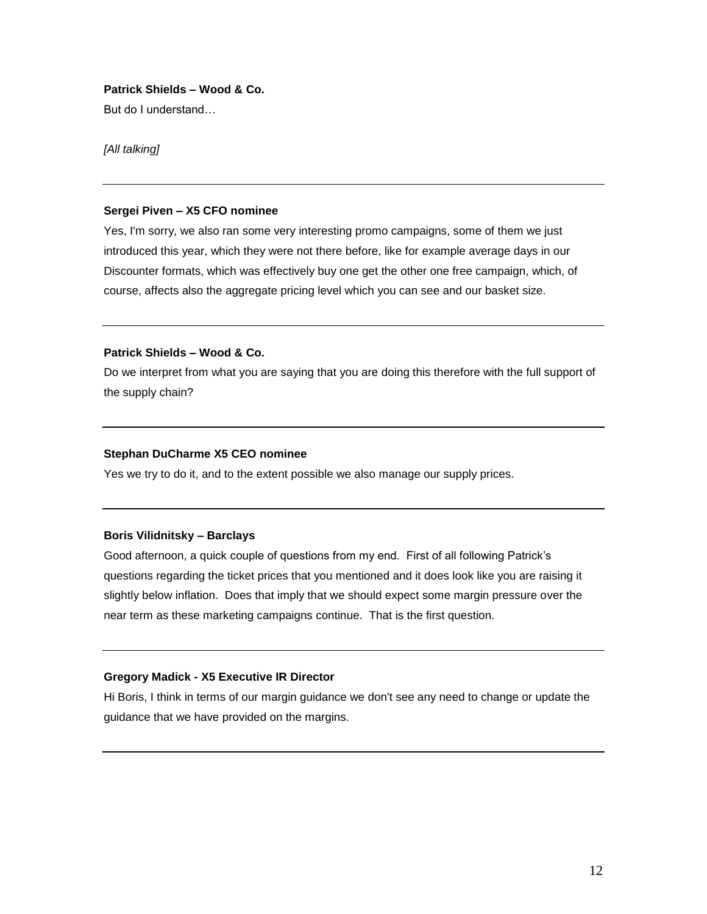## **Patrick Shields – Wood & Co.**

But do I understand…

*[All talking]*

#### **Sergei Piven – X5 CFO nominee**

Yes, I'm sorry, we also ran some very interesting promo campaigns, some of them we just introduced this year, which they were not there before, like for example average days in our Discounter formats, which was effectively buy one get the other one free campaign, which, of course, affects also the aggregate pricing level which you can see and our basket size.

## **Patrick Shields – Wood & Co.**

Do we interpret from what you are saying that you are doing this therefore with the full support of the supply chain?

#### **Stephan DuCharme X5 CEO nominee**

Yes we try to do it, and to the extent possible we also manage our supply prices.

## **Boris Vilidnitsky – Barclays**

Good afternoon, a quick couple of questions from my end. First of all following Patrick's questions regarding the ticket prices that you mentioned and it does look like you are raising it slightly below inflation. Does that imply that we should expect some margin pressure over the near term as these marketing campaigns continue. That is the first question.

## **Gregory Madick - X5 Executive IR Director**

Hi Boris, I think in terms of our margin guidance we don't see any need to change or update the guidance that we have provided on the margins.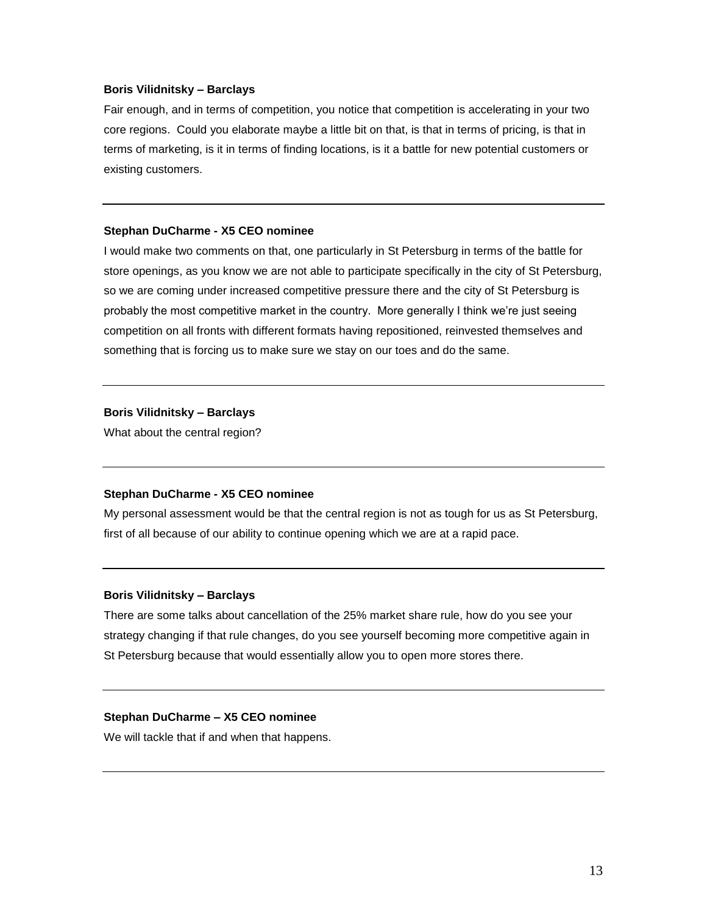## **Boris Vilidnitsky – Barclays**

Fair enough, and in terms of competition, you notice that competition is accelerating in your two core regions. Could you elaborate maybe a little bit on that, is that in terms of pricing, is that in terms of marketing, is it in terms of finding locations, is it a battle for new potential customers or existing customers.

#### **Stephan DuCharme - X5 CEO nominee**

I would make two comments on that, one particularly in St Petersburg in terms of the battle for store openings, as you know we are not able to participate specifically in the city of St Petersburg, so we are coming under increased competitive pressure there and the city of St Petersburg is probably the most competitive market in the country. More generally I think we're just seeing competition on all fronts with different formats having repositioned, reinvested themselves and something that is forcing us to make sure we stay on our toes and do the same.

## **Boris Vilidnitsky – Barclays**

What about the central region?

#### **Stephan DuCharme - X5 CEO nominee**

My personal assessment would be that the central region is not as tough for us as St Petersburg, first of all because of our ability to continue opening which we are at a rapid pace.

#### **Boris Vilidnitsky – Barclays**

There are some talks about cancellation of the 25% market share rule, how do you see your strategy changing if that rule changes, do you see yourself becoming more competitive again in St Petersburg because that would essentially allow you to open more stores there.

## **Stephan DuCharme – X5 CEO nominee**

We will tackle that if and when that happens.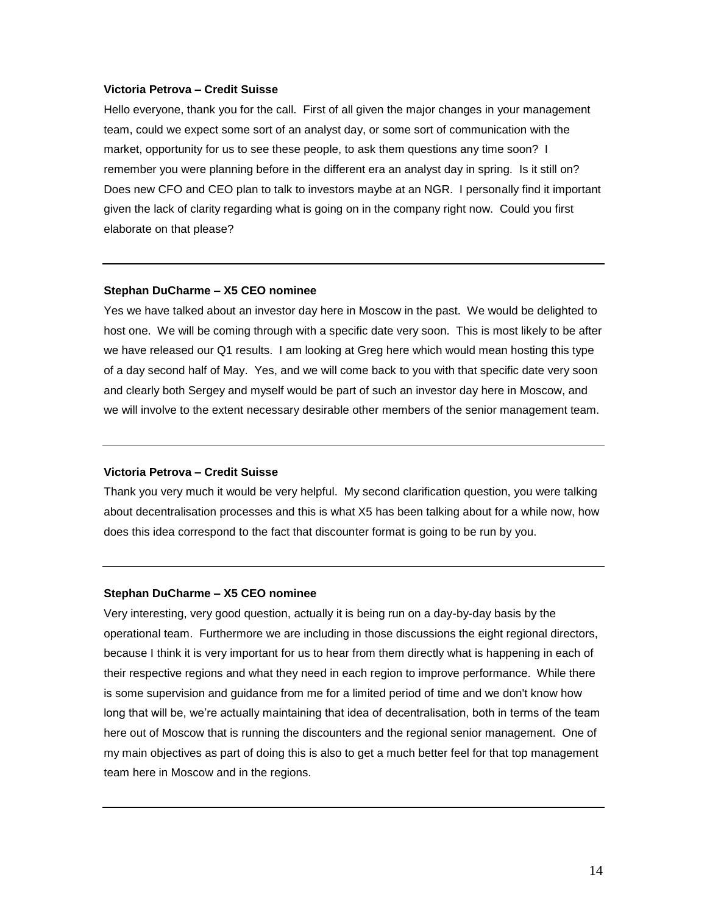#### **Victoria Petrova – Credit Suisse**

Hello everyone, thank you for the call. First of all given the major changes in your management team, could we expect some sort of an analyst day, or some sort of communication with the market, opportunity for us to see these people, to ask them questions any time soon? I remember you were planning before in the different era an analyst day in spring. Is it still on? Does new CFO and CEO plan to talk to investors maybe at an NGR. I personally find it important given the lack of clarity regarding what is going on in the company right now. Could you first elaborate on that please?

#### **Stephan DuCharme – X5 CEO nominee**

Yes we have talked about an investor day here in Moscow in the past. We would be delighted to host one. We will be coming through with a specific date very soon. This is most likely to be after we have released our Q1 results. I am looking at Greg here which would mean hosting this type of a day second half of May. Yes, and we will come back to you with that specific date very soon and clearly both Sergey and myself would be part of such an investor day here in Moscow, and we will involve to the extent necessary desirable other members of the senior management team.

#### **Victoria Petrova – Credit Suisse**

Thank you very much it would be very helpful. My second clarification question, you were talking about decentralisation processes and this is what X5 has been talking about for a while now, how does this idea correspond to the fact that discounter format is going to be run by you.

#### **Stephan DuCharme – X5 CEO nominee**

Very interesting, very good question, actually it is being run on a day-by-day basis by the operational team. Furthermore we are including in those discussions the eight regional directors, because I think it is very important for us to hear from them directly what is happening in each of their respective regions and what they need in each region to improve performance. While there is some supervision and guidance from me for a limited period of time and we don't know how long that will be, we're actually maintaining that idea of decentralisation, both in terms of the team here out of Moscow that is running the discounters and the regional senior management. One of my main objectives as part of doing this is also to get a much better feel for that top management team here in Moscow and in the regions.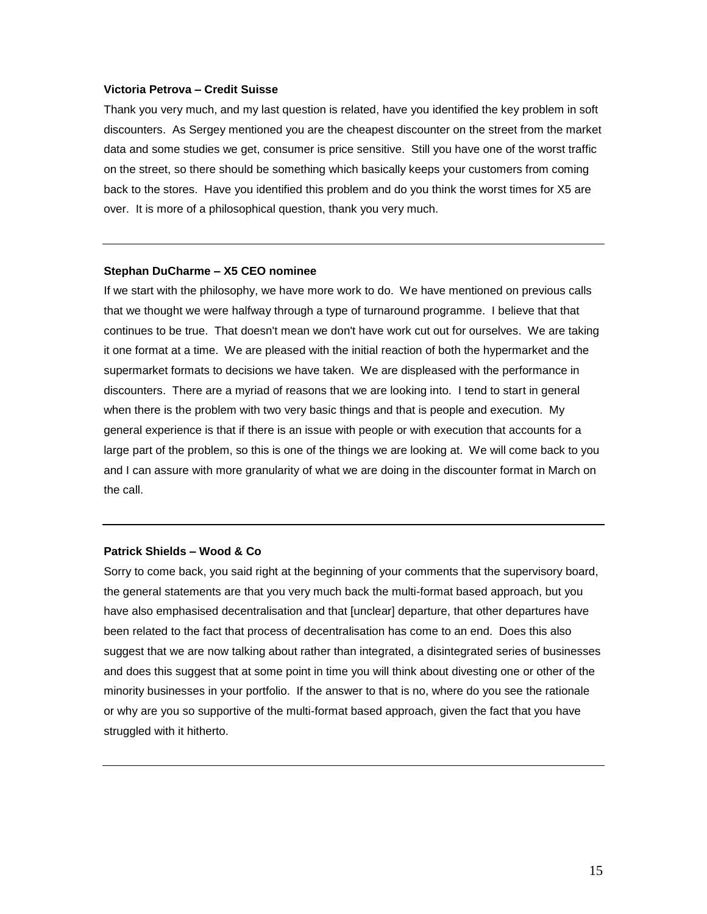#### **Victoria Petrova – Credit Suisse**

Thank you very much, and my last question is related, have you identified the key problem in soft discounters. As Sergey mentioned you are the cheapest discounter on the street from the market data and some studies we get, consumer is price sensitive. Still you have one of the worst traffic on the street, so there should be something which basically keeps your customers from coming back to the stores. Have you identified this problem and do you think the worst times for X5 are over. It is more of a philosophical question, thank you very much.

#### **Stephan DuCharme – X5 CEO nominee**

If we start with the philosophy, we have more work to do. We have mentioned on previous calls that we thought we were halfway through a type of turnaround programme. I believe that that continues to be true. That doesn't mean we don't have work cut out for ourselves. We are taking it one format at a time. We are pleased with the initial reaction of both the hypermarket and the supermarket formats to decisions we have taken. We are displeased with the performance in discounters. There are a myriad of reasons that we are looking into. I tend to start in general when there is the problem with two very basic things and that is people and execution. My general experience is that if there is an issue with people or with execution that accounts for a large part of the problem, so this is one of the things we are looking at. We will come back to you and I can assure with more granularity of what we are doing in the discounter format in March on the call.

#### **Patrick Shields – Wood & Co**

Sorry to come back, you said right at the beginning of your comments that the supervisory board, the general statements are that you very much back the multi-format based approach, but you have also emphasised decentralisation and that [unclear] departure, that other departures have been related to the fact that process of decentralisation has come to an end. Does this also suggest that we are now talking about rather than integrated, a disintegrated series of businesses and does this suggest that at some point in time you will think about divesting one or other of the minority businesses in your portfolio. If the answer to that is no, where do you see the rationale or why are you so supportive of the multi-format based approach, given the fact that you have struggled with it hitherto.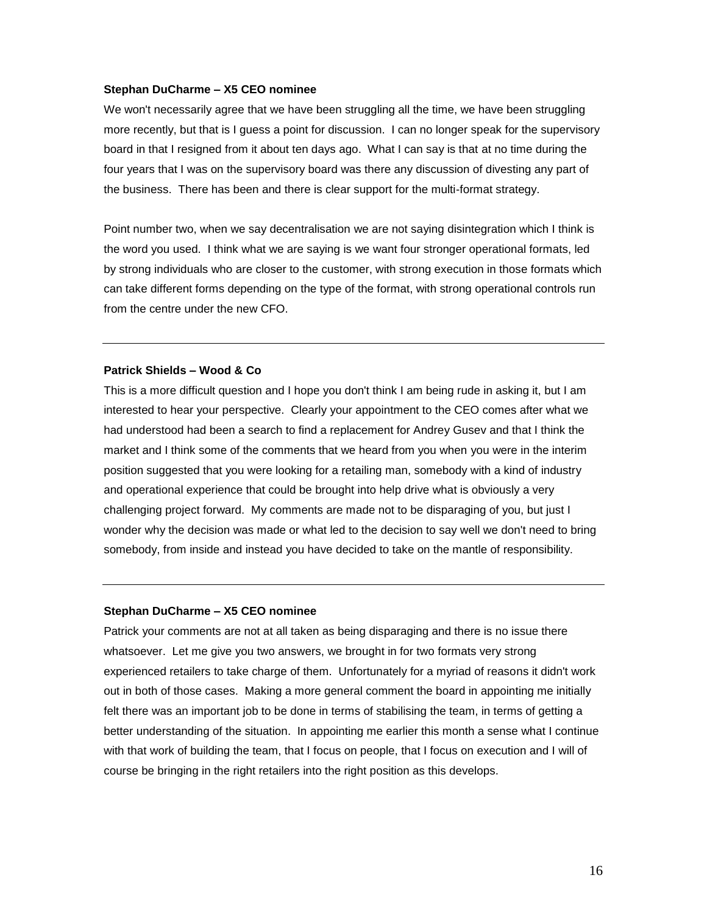#### **Stephan DuCharme – X5 CEO nominee**

We won't necessarily agree that we have been struggling all the time, we have been struggling more recently, but that is I guess a point for discussion. I can no longer speak for the supervisory board in that I resigned from it about ten days ago. What I can say is that at no time during the four years that I was on the supervisory board was there any discussion of divesting any part of the business. There has been and there is clear support for the multi-format strategy.

Point number two, when we say decentralisation we are not saying disintegration which I think is the word you used. I think what we are saying is we want four stronger operational formats, led by strong individuals who are closer to the customer, with strong execution in those formats which can take different forms depending on the type of the format, with strong operational controls run from the centre under the new CFO.

### **Patrick Shields – Wood & Co**

This is a more difficult question and I hope you don't think I am being rude in asking it, but I am interested to hear your perspective. Clearly your appointment to the CEO comes after what we had understood had been a search to find a replacement for Andrey Gusev and that I think the market and I think some of the comments that we heard from you when you were in the interim position suggested that you were looking for a retailing man, somebody with a kind of industry and operational experience that could be brought into help drive what is obviously a very challenging project forward. My comments are made not to be disparaging of you, but just I wonder why the decision was made or what led to the decision to say well we don't need to bring somebody, from inside and instead you have decided to take on the mantle of responsibility.

#### **Stephan DuCharme – X5 CEO nominee**

Patrick your comments are not at all taken as being disparaging and there is no issue there whatsoever. Let me give you two answers, we brought in for two formats very strong experienced retailers to take charge of them. Unfortunately for a myriad of reasons it didn't work out in both of those cases. Making a more general comment the board in appointing me initially felt there was an important job to be done in terms of stabilising the team, in terms of getting a better understanding of the situation. In appointing me earlier this month a sense what I continue with that work of building the team, that I focus on people, that I focus on execution and I will of course be bringing in the right retailers into the right position as this develops.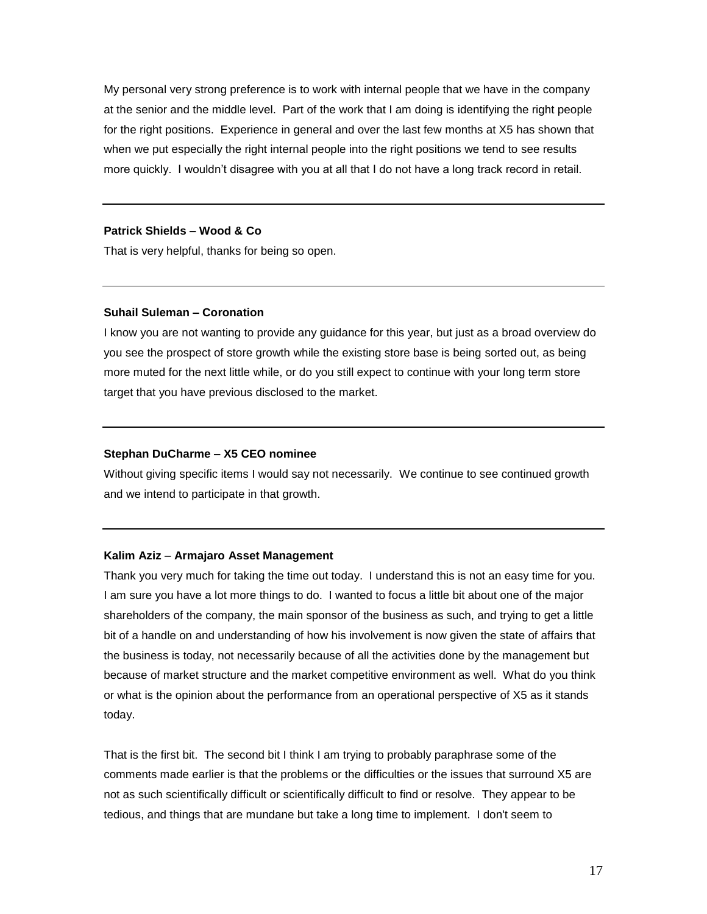My personal very strong preference is to work with internal people that we have in the company at the senior and the middle level. Part of the work that I am doing is identifying the right people for the right positions. Experience in general and over the last few months at X5 has shown that when we put especially the right internal people into the right positions we tend to see results more quickly. I wouldn't disagree with you at all that I do not have a long track record in retail.

#### **Patrick Shields – Wood & Co**

That is very helpful, thanks for being so open.

#### **Suhail Suleman – Coronation**

I know you are not wanting to provide any guidance for this year, but just as a broad overview do you see the prospect of store growth while the existing store base is being sorted out, as being more muted for the next little while, or do you still expect to continue with your long term store target that you have previous disclosed to the market.

### **Stephan DuCharme – X5 CEO nominee**

Without giving specific items I would say not necessarily. We continue to see continued growth and we intend to participate in that growth.

#### **Kalim Aziz** – **Armajaro Asset Management**

Thank you very much for taking the time out today. I understand this is not an easy time for you. I am sure you have a lot more things to do. I wanted to focus a little bit about one of the major shareholders of the company, the main sponsor of the business as such, and trying to get a little bit of a handle on and understanding of how his involvement is now given the state of affairs that the business is today, not necessarily because of all the activities done by the management but because of market structure and the market competitive environment as well. What do you think or what is the opinion about the performance from an operational perspective of X5 as it stands today.

That is the first bit. The second bit I think I am trying to probably paraphrase some of the comments made earlier is that the problems or the difficulties or the issues that surround X5 are not as such scientifically difficult or scientifically difficult to find or resolve. They appear to be tedious, and things that are mundane but take a long time to implement. I don't seem to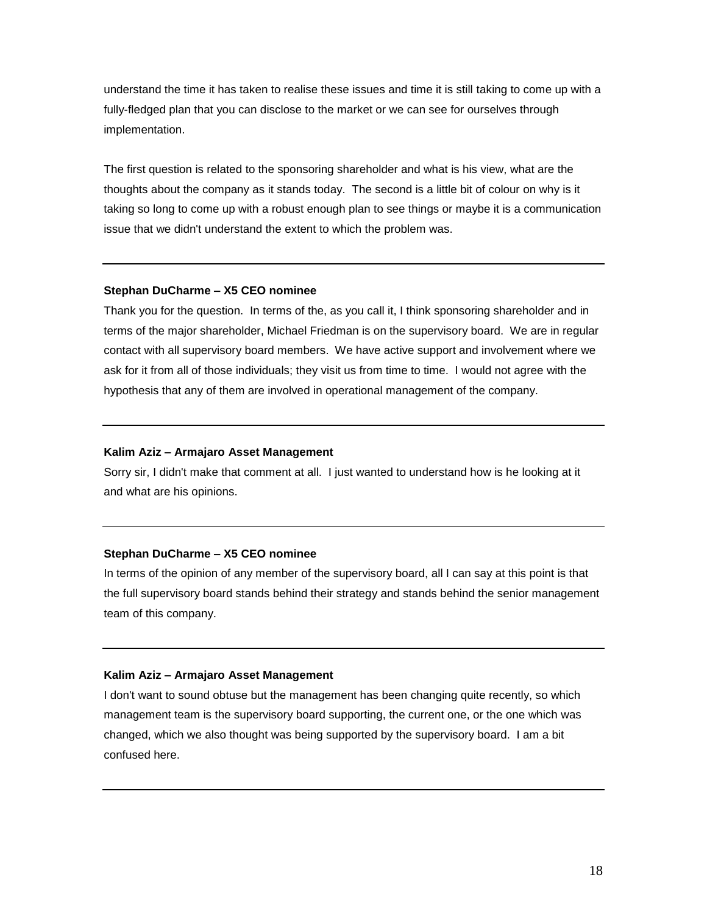understand the time it has taken to realise these issues and time it is still taking to come up with a fully-fledged plan that you can disclose to the market or we can see for ourselves through implementation.

The first question is related to the sponsoring shareholder and what is his view, what are the thoughts about the company as it stands today. The second is a little bit of colour on why is it taking so long to come up with a robust enough plan to see things or maybe it is a communication issue that we didn't understand the extent to which the problem was.

#### **Stephan DuCharme – X5 CEO nominee**

Thank you for the question. In terms of the, as you call it, I think sponsoring shareholder and in terms of the major shareholder, Michael Friedman is on the supervisory board. We are in regular contact with all supervisory board members. We have active support and involvement where we ask for it from all of those individuals; they visit us from time to time. I would not agree with the hypothesis that any of them are involved in operational management of the company.

#### **Kalim Aziz – Armajaro Asset Management**

Sorry sir, I didn't make that comment at all. I just wanted to understand how is he looking at it and what are his opinions.

## **Stephan DuCharme – X5 CEO nominee**

In terms of the opinion of any member of the supervisory board, all I can say at this point is that the full supervisory board stands behind their strategy and stands behind the senior management team of this company.

## **Kalim Aziz – Armajaro Asset Management**

I don't want to sound obtuse but the management has been changing quite recently, so which management team is the supervisory board supporting, the current one, or the one which was changed, which we also thought was being supported by the supervisory board. I am a bit confused here.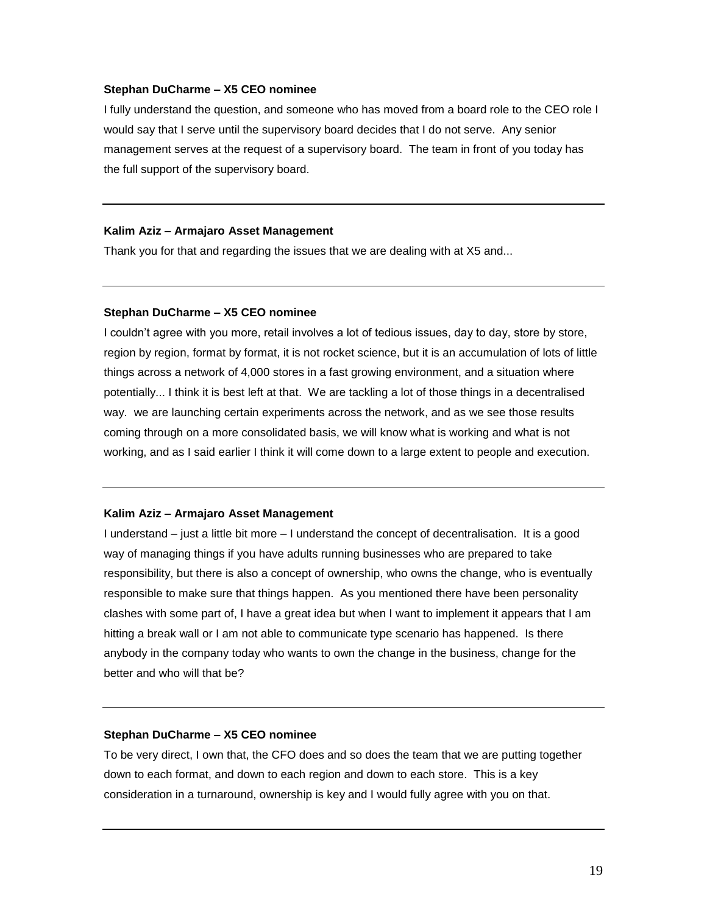#### **Stephan DuCharme – X5 CEO nominee**

I fully understand the question, and someone who has moved from a board role to the CEO role I would say that I serve until the supervisory board decides that I do not serve. Any senior management serves at the request of a supervisory board. The team in front of you today has the full support of the supervisory board.

#### **Kalim Aziz – Armajaro Asset Management**

Thank you for that and regarding the issues that we are dealing with at X5 and...

#### **Stephan DuCharme – X5 CEO nominee**

I couldn't agree with you more, retail involves a lot of tedious issues, day to day, store by store, region by region, format by format, it is not rocket science, but it is an accumulation of lots of little things across a network of 4,000 stores in a fast growing environment, and a situation where potentially... I think it is best left at that. We are tackling a lot of those things in a decentralised way. we are launching certain experiments across the network, and as we see those results coming through on a more consolidated basis, we will know what is working and what is not working, and as I said earlier I think it will come down to a large extent to people and execution.

#### **Kalim Aziz – Armajaro Asset Management**

I understand – just a little bit more – I understand the concept of decentralisation. It is a good way of managing things if you have adults running businesses who are prepared to take responsibility, but there is also a concept of ownership, who owns the change, who is eventually responsible to make sure that things happen. As you mentioned there have been personality clashes with some part of, I have a great idea but when I want to implement it appears that I am hitting a break wall or I am not able to communicate type scenario has happened. Is there anybody in the company today who wants to own the change in the business, change for the better and who will that be?

#### **Stephan DuCharme – X5 CEO nominee**

To be very direct, I own that, the CFO does and so does the team that we are putting together down to each format, and down to each region and down to each store. This is a key consideration in a turnaround, ownership is key and I would fully agree with you on that.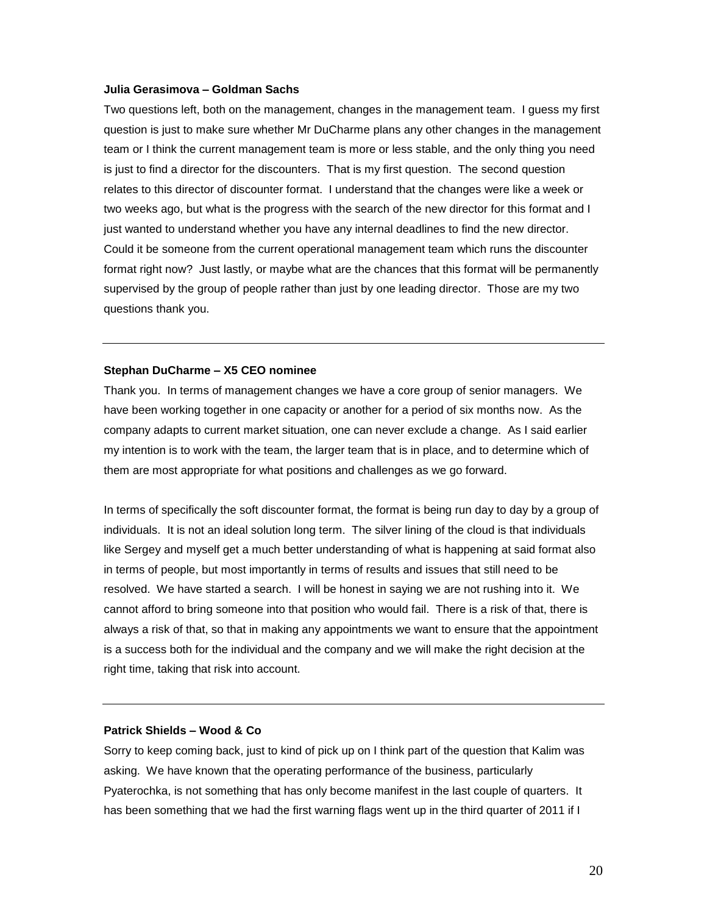#### **Julia Gerasimova – Goldman Sachs**

Two questions left, both on the management, changes in the management team. I guess my first question is just to make sure whether Mr DuCharme plans any other changes in the management team or I think the current management team is more or less stable, and the only thing you need is just to find a director for the discounters. That is my first question. The second question relates to this director of discounter format. I understand that the changes were like a week or two weeks ago, but what is the progress with the search of the new director for this format and I just wanted to understand whether you have any internal deadlines to find the new director. Could it be someone from the current operational management team which runs the discounter format right now? Just lastly, or maybe what are the chances that this format will be permanently supervised by the group of people rather than just by one leading director. Those are my two questions thank you.

#### **Stephan DuCharme – X5 CEO nominee**

Thank you. In terms of management changes we have a core group of senior managers. We have been working together in one capacity or another for a period of six months now. As the company adapts to current market situation, one can never exclude a change. As I said earlier my intention is to work with the team, the larger team that is in place, and to determine which of them are most appropriate for what positions and challenges as we go forward.

In terms of specifically the soft discounter format, the format is being run day to day by a group of individuals. It is not an ideal solution long term. The silver lining of the cloud is that individuals like Sergey and myself get a much better understanding of what is happening at said format also in terms of people, but most importantly in terms of results and issues that still need to be resolved. We have started a search. I will be honest in saying we are not rushing into it. We cannot afford to bring someone into that position who would fail. There is a risk of that, there is always a risk of that, so that in making any appointments we want to ensure that the appointment is a success both for the individual and the company and we will make the right decision at the right time, taking that risk into account.

#### **Patrick Shields – Wood & Co**

Sorry to keep coming back, just to kind of pick up on I think part of the question that Kalim was asking. We have known that the operating performance of the business, particularly Pyaterochka, is not something that has only become manifest in the last couple of quarters. It has been something that we had the first warning flags went up in the third quarter of 2011 if I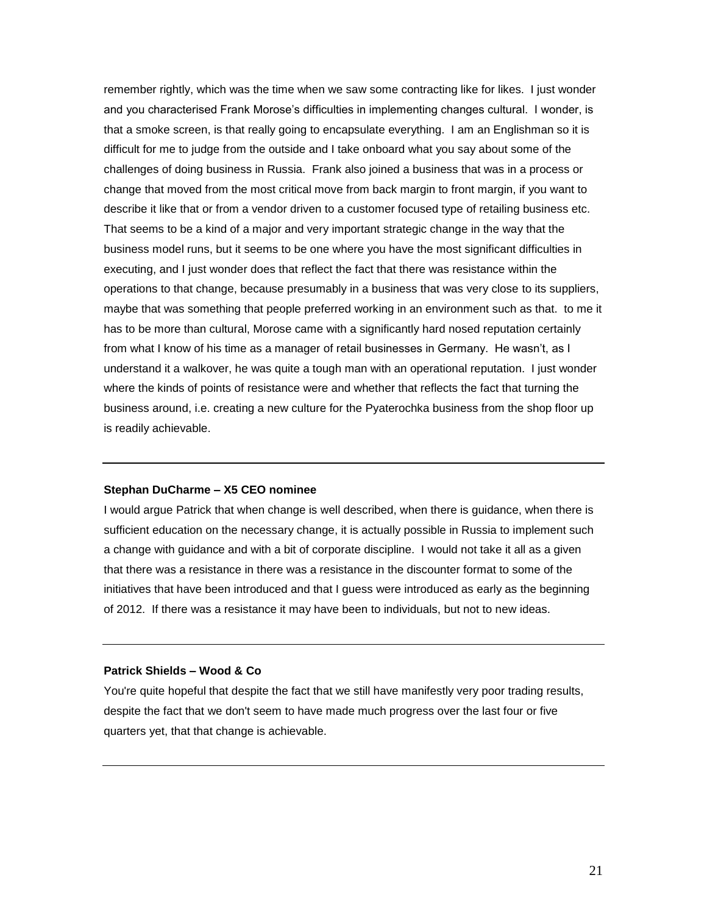remember rightly, which was the time when we saw some contracting like for likes. I just wonder and you characterised Frank Morose's difficulties in implementing changes cultural. I wonder, is that a smoke screen, is that really going to encapsulate everything. I am an Englishman so it is difficult for me to judge from the outside and I take onboard what you say about some of the challenges of doing business in Russia. Frank also joined a business that was in a process or change that moved from the most critical move from back margin to front margin, if you want to describe it like that or from a vendor driven to a customer focused type of retailing business etc. That seems to be a kind of a major and very important strategic change in the way that the business model runs, but it seems to be one where you have the most significant difficulties in executing, and I just wonder does that reflect the fact that there was resistance within the operations to that change, because presumably in a business that was very close to its suppliers, maybe that was something that people preferred working in an environment such as that. to me it has to be more than cultural, Morose came with a significantly hard nosed reputation certainly from what I know of his time as a manager of retail businesses in Germany. He wasn't, as I understand it a walkover, he was quite a tough man with an operational reputation. I just wonder where the kinds of points of resistance were and whether that reflects the fact that turning the business around, i.e. creating a new culture for the Pyaterochka business from the shop floor up is readily achievable.

#### **Stephan DuCharme – X5 CEO nominee**

I would argue Patrick that when change is well described, when there is guidance, when there is sufficient education on the necessary change, it is actually possible in Russia to implement such a change with guidance and with a bit of corporate discipline. I would not take it all as a given that there was a resistance in there was a resistance in the discounter format to some of the initiatives that have been introduced and that I guess were introduced as early as the beginning of 2012. If there was a resistance it may have been to individuals, but not to new ideas.

### **Patrick Shields – Wood & Co**

You're quite hopeful that despite the fact that we still have manifestly very poor trading results, despite the fact that we don't seem to have made much progress over the last four or five quarters yet, that that change is achievable.